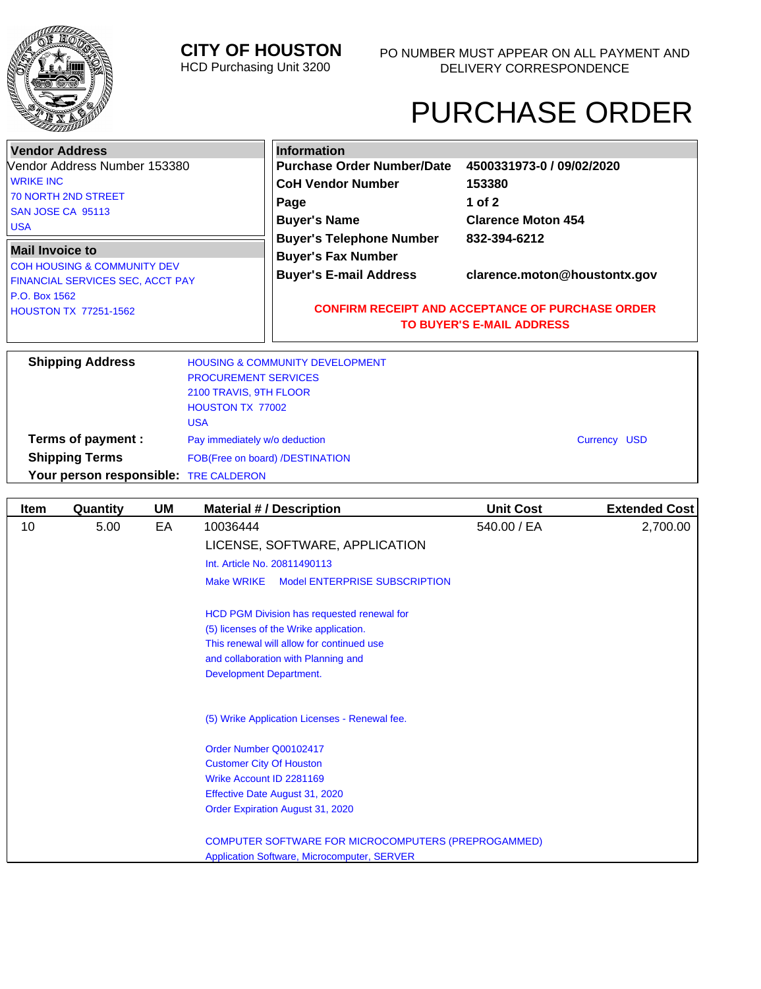

# **CITY OF HOUSTON**

HCD Purchasing Unit 3200

# PURCHASE ORDER

| <b>Vendor Address</b>                                            | <b>Information</b>                                                        |                                                                                             |  |  |
|------------------------------------------------------------------|---------------------------------------------------------------------------|---------------------------------------------------------------------------------------------|--|--|
| Vendor Address Number 153380                                     | <b>Purchase Order Number/Date</b>                                         | 4500331973-0 / 09/02/2020                                                                   |  |  |
| <b>WRIKE INC</b>                                                 | <b>CoH Vendor Number</b>                                                  | 153380                                                                                      |  |  |
| <b>70 NORTH 2ND STREET</b>                                       | Page                                                                      | 1 of $2$                                                                                    |  |  |
| SAN JOSE CA 95113                                                | <b>Buyer's Name</b>                                                       | <b>Clarence Moton 454</b>                                                                   |  |  |
| <b>USA</b>                                                       |                                                                           |                                                                                             |  |  |
| <b>Mail Invoice to</b><br><b>COH HOUSING &amp; COMMUNITY DEV</b> | <b>Buyer's Telephone Number</b><br><b>Buyer's Fax Number</b>              | 832-394-6212                                                                                |  |  |
| FINANCIAL SERVICES SEC, ACCT PAY                                 | <b>Buyer's E-mail Address</b>                                             | clarence.moton@houstontx.gov                                                                |  |  |
| P.O. Box 1562                                                    |                                                                           |                                                                                             |  |  |
| <b>HOUSTON TX 77251-1562</b>                                     |                                                                           | <b>CONFIRM RECEIPT AND ACCEPTANCE OF PURCHASE ORDER</b><br><b>TO BUYER'S E-MAIL ADDRESS</b> |  |  |
| <b>Shipping Address</b>                                          | <b>HOUSING &amp; COMMUNITY DEVELOPMENT</b><br><b>PROCUREMENT SERVICES</b> |                                                                                             |  |  |
|                                                                  | 2100 TRAVIS, 9TH FLOOR                                                    |                                                                                             |  |  |
|                                                                  | <b>HOUSTON TX 77002</b>                                                   |                                                                                             |  |  |
| 110 <sub>h</sub>                                                 |                                                                           |                                                                                             |  |  |

|                                       | USA                             |                     |  |
|---------------------------------------|---------------------------------|---------------------|--|
| Terms of payment :                    | Pay immediately w/o deduction   | <b>Currency USD</b> |  |
| <b>Shipping Terms</b>                 | FOB(Free on board) /DESTINATION |                     |  |
| Your person responsible: TRE CALDERON |                                 |                     |  |
|                                       |                                 |                     |  |

| Item | Quantity | <b>UM</b> | <b>Material #/ Description</b>                             | <b>Unit Cost</b> | <b>Extended Cost</b> |
|------|----------|-----------|------------------------------------------------------------|------------------|----------------------|
| 10   | 5.00     | EA        | 10036444                                                   | 540.00 / EA      | 2,700.00             |
|      |          |           | LICENSE, SOFTWARE, APPLICATION                             |                  |                      |
|      |          |           | Int. Article No. 20811490113                               |                  |                      |
|      |          |           | <b>Make WRIKE</b><br>Model ENTERPRISE SUBSCRIPTION         |                  |                      |
|      |          |           | HCD PGM Division has requested renewal for                 |                  |                      |
|      |          |           | (5) licenses of the Wrike application.                     |                  |                      |
|      |          |           | This renewal will allow for continued use                  |                  |                      |
|      |          |           | and collaboration with Planning and                        |                  |                      |
|      |          |           | <b>Development Department.</b>                             |                  |                      |
|      |          |           | (5) Wrike Application Licenses - Renewal fee.              |                  |                      |
|      |          |           | Order Number Q00102417                                     |                  |                      |
|      |          |           | <b>Customer City Of Houston</b>                            |                  |                      |
|      |          |           | Wrike Account ID 2281169                                   |                  |                      |
|      |          |           | Effective Date August 31, 2020                             |                  |                      |
|      |          |           | Order Expiration August 31, 2020                           |                  |                      |
|      |          |           | <b>COMPUTER SOFTWARE FOR MICROCOMPUTERS (PREPROGAMMED)</b> |                  |                      |
|      |          |           | <b>Application Software, Microcomputer, SERVER</b>         |                  |                      |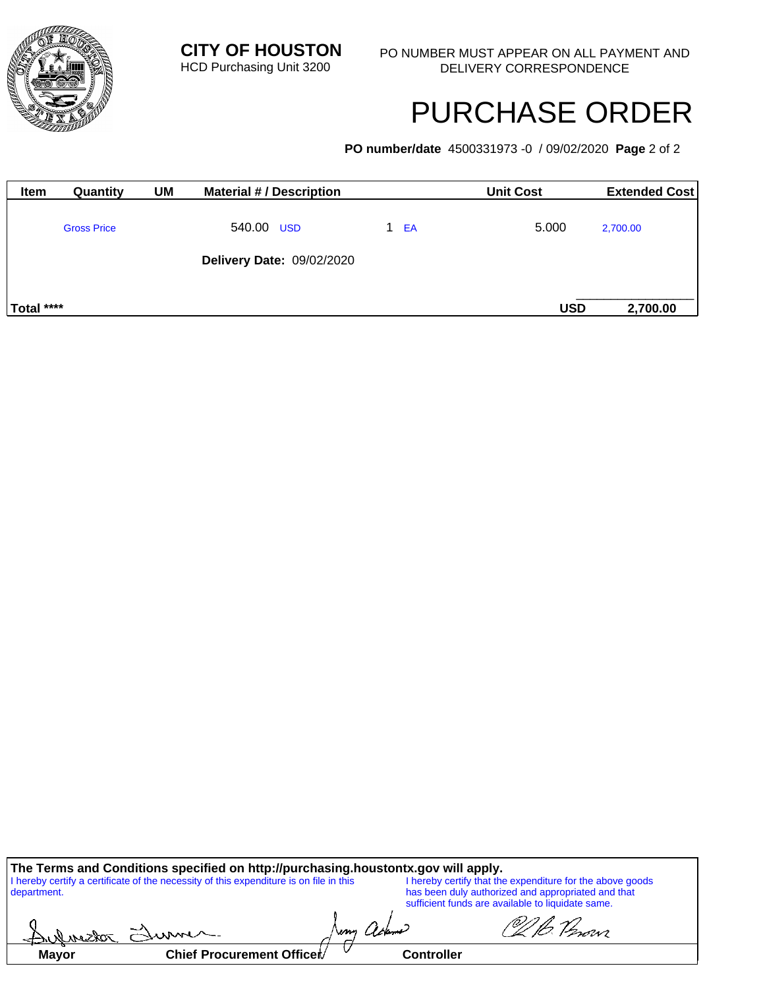

# PURCHASE ORDER

**PO number/date** 4500331973 -0 / 09/02/2020 **Page** 2 of 2

| <b>Item</b> | Quantity           | <b>UM</b> | <b>Material #/ Description</b>   |          | <b>Unit Cost</b> | <b>Extended Cost</b> |
|-------------|--------------------|-----------|----------------------------------|----------|------------------|----------------------|
|             | <b>Gross Price</b> |           | 540.00 USD                       | EA<br>1. | 5.000            | 2,700.00             |
|             |                    |           | <b>Delivery Date: 09/02/2020</b> |          |                  |                      |
| Total ****  |                    |           |                                  |          | <b>USD</b>       | 2,700.00             |

| The Terms and Conditions specified on http://purchasing.houstontx.gov will apply. |                                                                                        |  |  |                                                                                                                 |  |  |
|-----------------------------------------------------------------------------------|----------------------------------------------------------------------------------------|--|--|-----------------------------------------------------------------------------------------------------------------|--|--|
| department.                                                                       | I hereby certify a certificate of the necessity of this expenditure is on file in this |  |  | I hereby certify that the expenditure for the above goods<br>has been duly authorized and appropriated and that |  |  |
|                                                                                   |                                                                                        |  |  | sufficient funds are available to liquidate same.                                                               |  |  |
|                                                                                   |                                                                                        |  |  | @/I.h. 12                                                                                                       |  |  |

|       | دست                       | wm | Lianne            | rovvi |
|-------|---------------------------|----|-------------------|-------|
| Mayor | Chief Procurement Officer |    | <b>Controller</b> |       |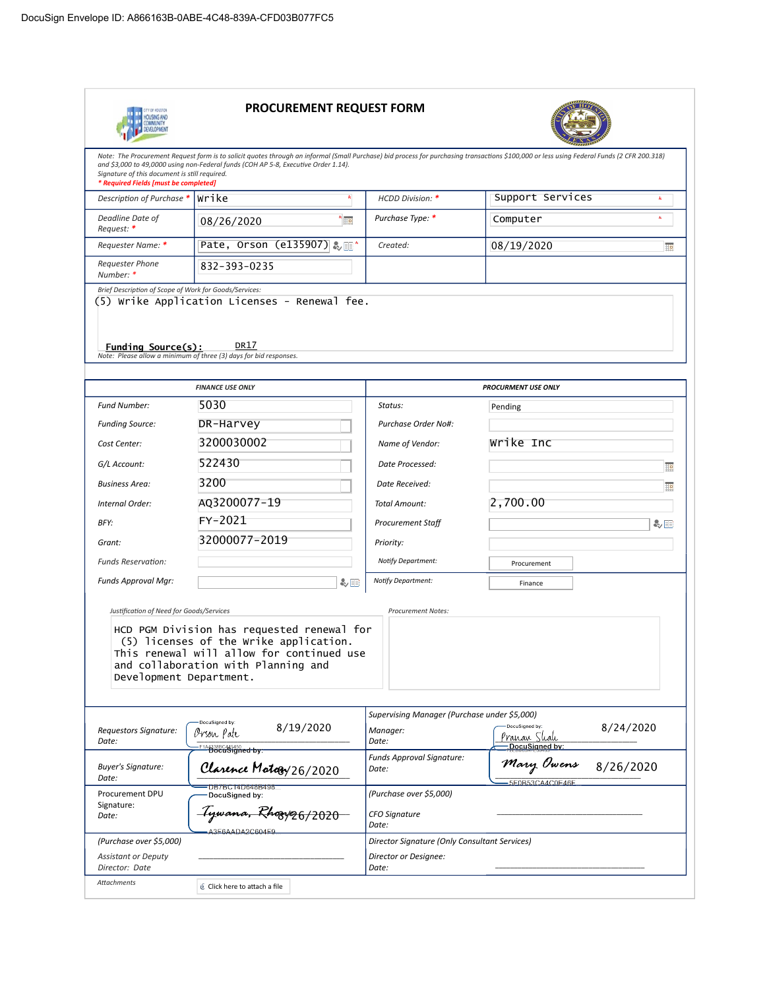

## PROCUREMENT REQUEST FORM



| Note: The Procurement Request form is to solicit quotes through an informal (Small Purchase) bid process for purchasing transactions \$100,000 or less using Federal Funds (2 CFR 200.318)<br>and \$3,000 to 49,0000 using non-Federal funds (COH AP 5-8, Executive Order 1.14).<br>Signature of this document is still required.<br>* Required Fields [must be completed] |                                                                                                                                                                          |                                               |                                                              |  |  |  |  |
|----------------------------------------------------------------------------------------------------------------------------------------------------------------------------------------------------------------------------------------------------------------------------------------------------------------------------------------------------------------------------|--------------------------------------------------------------------------------------------------------------------------------------------------------------------------|-----------------------------------------------|--------------------------------------------------------------|--|--|--|--|
| Description of Purchase *                                                                                                                                                                                                                                                                                                                                                  | Wrike                                                                                                                                                                    | <b>HCDD Division: *</b>                       | Support Services                                             |  |  |  |  |
| Deadline Date of<br>Request: *                                                                                                                                                                                                                                                                                                                                             | $\star$<br>08/26/2020                                                                                                                                                    | Purchase Type: *                              | de.<br>Computer                                              |  |  |  |  |
| Requester Name: *                                                                                                                                                                                                                                                                                                                                                          | Pate, Orson (e135907) & D                                                                                                                                                | Created:                                      | 08/19/2020<br>Ho                                             |  |  |  |  |
| <b>Requester Phone</b><br>Number: *                                                                                                                                                                                                                                                                                                                                        | 832-393-0235                                                                                                                                                             |                                               |                                                              |  |  |  |  |
| Brief Description of Scope of Work for Goods/Services:<br>Funding Source(s):                                                                                                                                                                                                                                                                                               | (5) Wrike Application Licenses - Renewal fee.<br>DR17                                                                                                                    |                                               |                                                              |  |  |  |  |
|                                                                                                                                                                                                                                                                                                                                                                            | Note: Please allow a minimum of three (3) days for bid responses.                                                                                                        |                                               |                                                              |  |  |  |  |
|                                                                                                                                                                                                                                                                                                                                                                            | <b>FINANCE USE ONLY</b>                                                                                                                                                  |                                               | <b>PROCURMENT USE ONLY</b>                                   |  |  |  |  |
| <b>Fund Number:</b>                                                                                                                                                                                                                                                                                                                                                        | 5030                                                                                                                                                                     | Status:                                       | Pending                                                      |  |  |  |  |
| <b>Funding Source:</b>                                                                                                                                                                                                                                                                                                                                                     | DR-Harvey                                                                                                                                                                | Purchase Order No#:                           |                                                              |  |  |  |  |
| Cost Center:                                                                                                                                                                                                                                                                                                                                                               | 3200030002                                                                                                                                                               | Name of Vendor:                               | Wrike Inc                                                    |  |  |  |  |
| G/L Account:                                                                                                                                                                                                                                                                                                                                                               | 522430                                                                                                                                                                   | Date Processed:                               | ▦                                                            |  |  |  |  |
| <b>Business Area:</b>                                                                                                                                                                                                                                                                                                                                                      | 3200                                                                                                                                                                     | Date Received:                                | 誧                                                            |  |  |  |  |
| Internal Order:                                                                                                                                                                                                                                                                                                                                                            | AQ3200077-19                                                                                                                                                             | Total Amount:                                 | 2,700.00                                                     |  |  |  |  |
| BFY:                                                                                                                                                                                                                                                                                                                                                                       | FY-2021                                                                                                                                                                  | <b>Procurement Staff</b>                      | ₩⊞                                                           |  |  |  |  |
| Grant:                                                                                                                                                                                                                                                                                                                                                                     | 32000077-2019                                                                                                                                                            | Priority:                                     |                                                              |  |  |  |  |
| <b>Funds Reservation:</b>                                                                                                                                                                                                                                                                                                                                                  |                                                                                                                                                                          | Notify Department:                            | Procurement                                                  |  |  |  |  |
| Funds Approval Mar:                                                                                                                                                                                                                                                                                                                                                        | み田                                                                                                                                                                       | Notify Department:                            | Finance                                                      |  |  |  |  |
| Justification of Need for Goods/Services<br>Development Department.                                                                                                                                                                                                                                                                                                        | HCD PGM Division has requested renewal for<br>(5) licenses of the Wrike application.<br>This renewal will allow for continued use<br>and collaboration with Planning and | <b>Procurement Notes:</b>                     |                                                              |  |  |  |  |
|                                                                                                                                                                                                                                                                                                                                                                            |                                                                                                                                                                          | Supervising Manager (Purchase under \$5,000)  |                                                              |  |  |  |  |
| Requestors Signature:<br>Date:                                                                                                                                                                                                                                                                                                                                             | DocuSigned by:<br>8/19/2020<br>Orson Pate<br>F1A1338BC445450.                                                                                                            | Manager:<br>Date:                             | DocuSigned by:<br>8/24/2020<br>Pranan Shah<br>DocuSigned by: |  |  |  |  |
| <b>Buyer's Signature:</b><br>Date:                                                                                                                                                                                                                                                                                                                                         | Clarence Motogy 26/2020                                                                                                                                                  | Funds Approval Signature:<br>Date:            | Mary Owens<br>8/26/2020                                      |  |  |  |  |
| Procurement DPU                                                                                                                                                                                                                                                                                                                                                            | DB7BC14D648B498<br>DocuSigned by:                                                                                                                                        | (Purchase over \$5,000)                       | 5F0B53CA4C0E46F                                              |  |  |  |  |
| Signature:<br>Date:                                                                                                                                                                                                                                                                                                                                                        | Tywana, Rhozyz <sub>6/2020</sub>                                                                                                                                         | <b>CFO Signature</b><br>Date:                 |                                                              |  |  |  |  |
| (Purchase over \$5,000)                                                                                                                                                                                                                                                                                                                                                    | A3E6AADA2C604E9                                                                                                                                                          | Director Signature (Only Consultant Services) |                                                              |  |  |  |  |
| <b>Assistant or Deputy</b><br>Director: Date                                                                                                                                                                                                                                                                                                                               |                                                                                                                                                                          | Director or Designee:<br>Date:                |                                                              |  |  |  |  |
| Attachments                                                                                                                                                                                                                                                                                                                                                                | Click here to attach a file                                                                                                                                              |                                               |                                                              |  |  |  |  |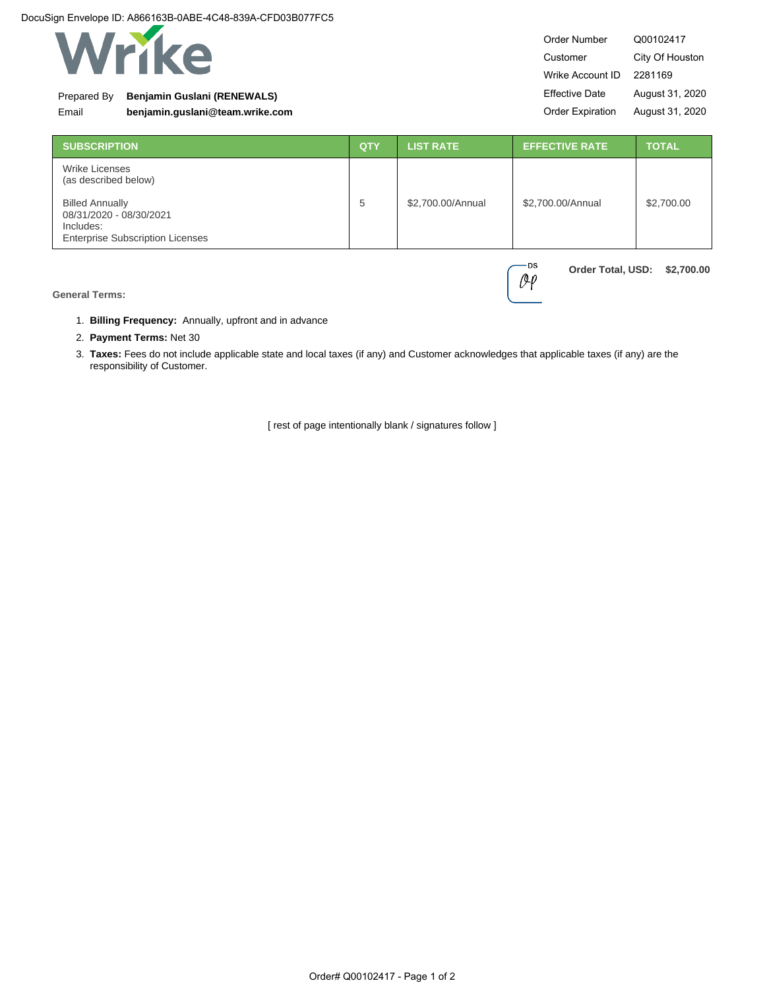

### Prepared By **Benjamin Guslani (RENEWALS)**

Email **benjamin.guslani@team.wrike.com**

| Order Number            | Q00102417       |  |
|-------------------------|-----------------|--|
| Customer                | City Of Houston |  |
| Wrike Account ID        | 2281169         |  |
| <b>Effective Date</b>   | August 31, 2020 |  |
| <b>Order Expiration</b> | August 31, 2020 |  |

**Order Total, USD: \$2,700.00**

**DS**  $O(\rho)$ 

| <b>SUBSCRIPTION</b>                                                                                       | <b>QTY</b> | <b>LIST RATE</b>  | <b>EFFECTIVE RATE</b> | <b>TOTAL</b> |
|-----------------------------------------------------------------------------------------------------------|------------|-------------------|-----------------------|--------------|
| Wrike Licenses<br>(as described below)                                                                    |            |                   |                       |              |
| <b>Billed Annually</b><br>08/31/2020 - 08/30/2021<br>Includes:<br><b>Enterprise Subscription Licenses</b> | 5          | \$2,700.00/Annual | \$2,700.00/Annual     | \$2,700.00   |

**General Terms:**

- 1. **Billing Frequency:** Annually, upfront and in advance
- 2. **Payment Terms:** Net 30
- 3. **Taxes:** Fees do not include applicable state and local taxes (if any) and Customer acknowledges that applicable taxes (if any) are the responsibility of Customer.

[ rest of page intentionally blank / signatures follow ]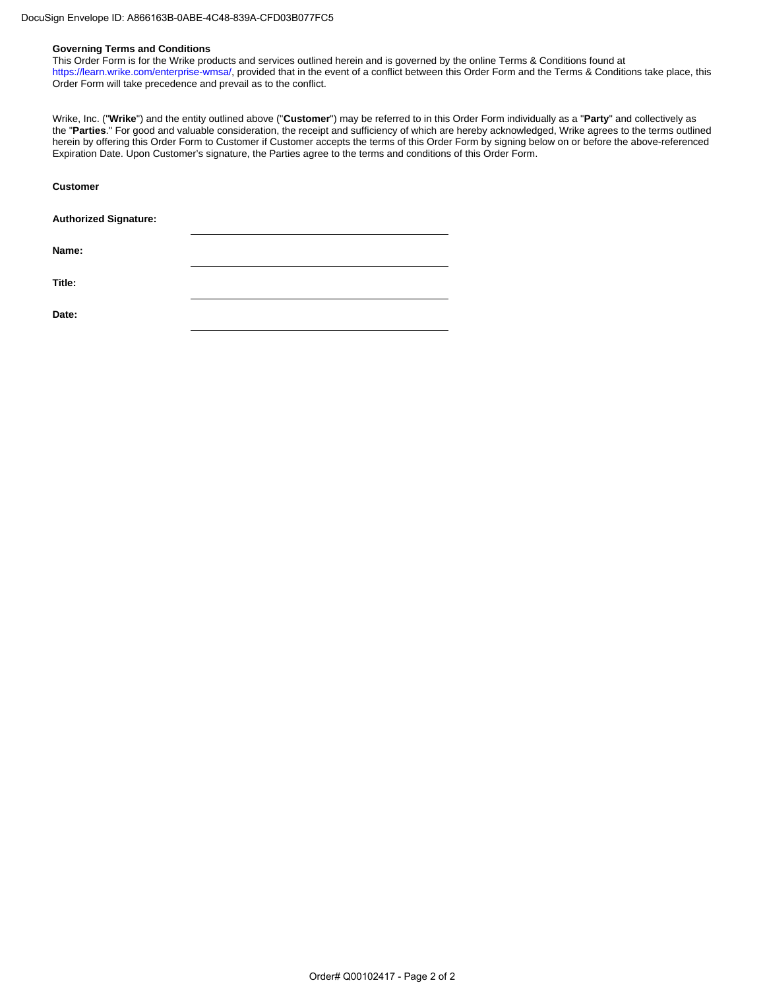#### **Governing Terms and Conditions**

This Order Form is for the Wrike products and services outlined herein and is governed by the online Terms & Conditions found at <https://learn.wrike.com/enterprise-wmsa/>, provided that in the event of a conflict between this Order Form and the Terms & Conditions take place, this Order Form will take precedence and prevail as to the conflict.

Wrike, Inc. ("**Wrike**") and the entity outlined above ("**Customer**") may be referred to in this Order Form individually as a "**Party**" and collectively as the "**Parties**." For good and valuable consideration, the receipt and sufficiency of which are hereby acknowledged, Wrike agrees to the terms outlined herein by offering this Order Form to Customer if Customer accepts the terms of this Order Form by signing below on or before the above-referenced Expiration Date. Upon Customer's signature, the Parties agree to the terms and conditions of this Order Form.

| <b>Customer</b>              |  |
|------------------------------|--|
| <b>Authorized Signature:</b> |  |
| Name:                        |  |
| Title:                       |  |
| Date:                        |  |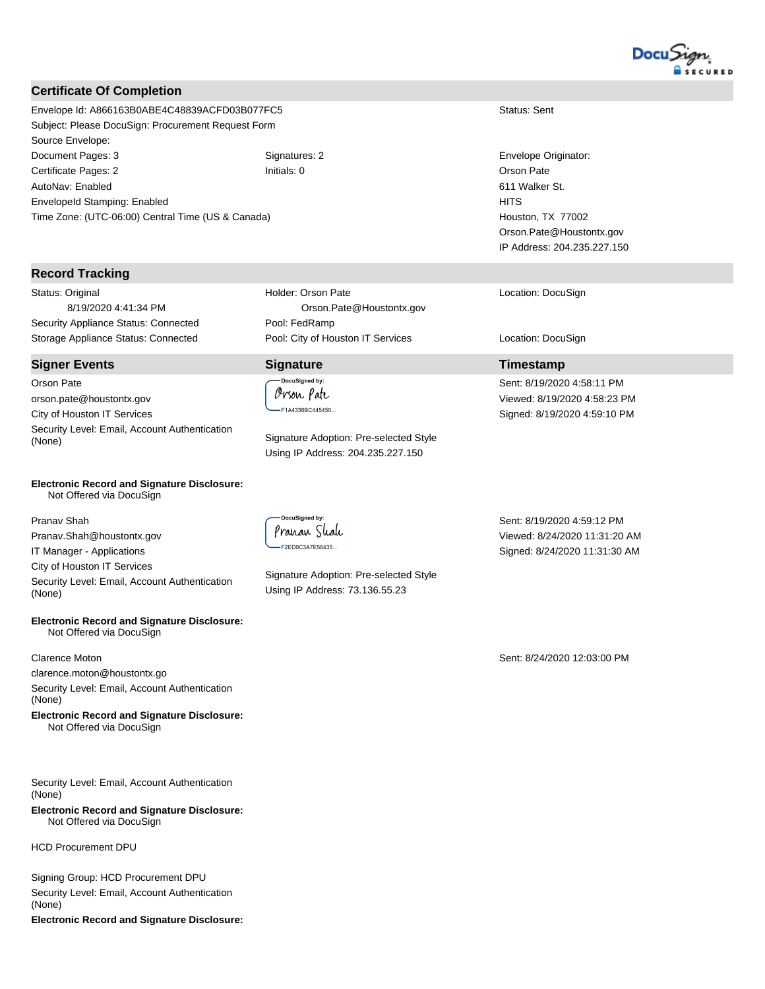

### **Certificate Of Completion**

Envelope Id: A866163B0ABE4C48839ACFD03B077FC5 Status: Sent Status: Sent Subject: Please DocuSign: Procurement Request Form Source Envelope: Document Pages: 3 Signatures: 2 Envelope Originator: Certificate Pages: 2 **Initials: 0 Initials: 0** Orson Pate AutoNav: Enabled EnvelopeId Stamping: Enabled Time Zone: (UTC-06:00) Central Time (US & Canada)

#### **Record Tracking**

Status: Original 8/19/2020 4:41:34 PM Security Appliance Status: Connected Pool: FedRamp Storage Appliance Status: Connected Pool: City of Houston IT Services Location: DocuSign

**Signer Events Signature Timestamp** Orson Pate orson.pate@houstontx.gov City of Houston IT Services Security Level: Email, Account Authentication (None) Signature Adoption: Pre-selected Style

#### **Electronic Record and Signature Disclosure:**  Not Offered via DocuSign

Pranav Shah Pranav.Shah@houstontx.gov IT Manager - Applications City of Houston IT Services Security Level: Email, Account Authentication

**Electronic Record and Signature Disclosure:**  Not Offered via DocuSign

#### Clarence Moton

(None)

clarence.moton@houstontx.go

Security Level: Email, Account Authentication (None)

**Electronic Record and Signature Disclosure:**  Not Offered via DocuSign

Security Level: Email, Account Authentication (None)

**Electronic Record and Signature Disclosure:**  Not Offered via DocuSign

HCD Procurement DPU

Signing Group: HCD Procurement DPU Security Level: Email, Account Authentication (None) **Electronic Record and Signature Disclosure:**  Holder: Orson Pate Orson.Pate@Houstontx.gov

**DocuSianed by** Orson Pate -F1A4338BC445450..

Using IP Address: 204.235.227.150

DocuSigned by Pranan Shah -F2ED0C3A7E56435...

Signature Adoption: Pre-selected Style Using IP Address: 73.136.55.23

Location: DocuSign

Houston, TX 77002 Orson.Pate@Houstontx.gov IP Address: 204.235.227.150

611 Walker St.

**HITS** 

Sent: 8/19/2020 4:58:11 PM Viewed: 8/19/2020 4:58:23 PM Signed: 8/19/2020 4:59:10 PM

Sent: 8/19/2020 4:59:12 PM Viewed: 8/24/2020 11:31:20 AM Signed: 8/24/2020 11:31:30 AM

Sent: 8/24/2020 12:03:00 PM